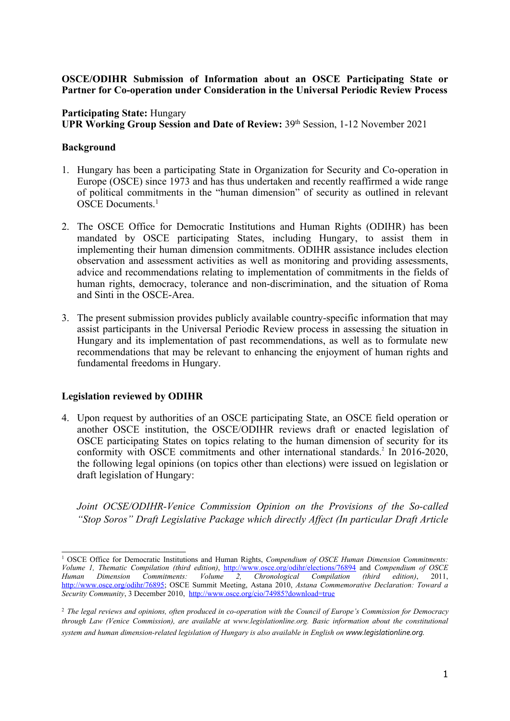## **OSCE/ODIHR Submission of Information about an OSCE Participating State or Partner for Co-operation under Consideration in the Universal Periodic Review Process**

## **Participating State:** Hungary

**UPR Working Group Session and Date of Review:** 39th Session, 1-12 November 2021

## **Background**

- 1. Hungary has been <sup>a</sup> participating State in Organization for Security and Co-operation in Europe (OSCE) since 1973 and has thus undertaken and recently reaffirmed <sup>a</sup> wide range of political commitments in the "human dimension" of security as outlined in relevant OSCE Documents. 1
- 2. The OSCE Office for Democratic Institutions and Human Rights (ODIHR) has been mandated by OSCE participating States, including Hungary, to assist them in implementing their human dimension commitments. ODIHR assistance includes election observation and assessment activities as well as monitoring and providing assessments, advice and recommendations relating to implementation of commitments in the fields of human rights, democracy, tolerance and non-discrimination, and the situation of Roma and Sinti in the OSCE-Area.
- 3. The presen<sup>t</sup> submission provides publicly available country-specific information that may assist participants in the Universal Periodic Review process in assessing the situation in Hungary and its implementation of pas<sup>t</sup> recommendations, as well as to formulate new recommendations that may be relevant to enhancing the enjoyment of human rights and fundamental freedoms in Hungary.

# **Legislation reviewed by ODIHR**

4. Upon reques<sup>t</sup> by authorities of an OSCE participating State, an OSCE field operation or another OSCE institution, the OSCE/ODIHR reviews draft or enacted legislation of OSCE participating States on topics relating to the human dimension of security for its conformity with OSCE commitments and other international standards. 2 In 2016-2020, the following legal opinions (on topics other than elections) were issued on legislation or draft legislation of Hungary:

*Joint OCSE/ODIHR-Venice Commission Opinion on the Provisions of the So-called "Stop Soros" Draft Legislative Package which directly Affect (In particular Draft Article*

<sup>1</sup> OSCE Office for Democratic Institutions and Human Rights, *Compendium of OSCE Human Dimension Commitments: Volume 1, Thematic Compilation (third edition)*, <http://www.osce.org/odihr/elections/76894> and *Compendium of OSCE Human Dimension Commitments: Volume 2, Chronological Compilation (third edition)*, 2011, <http://www.osce.org/odihr/76895>; OSCE Summit Meeting, Astana 2010, *Astana Commemorative Declaration: Toward <sup>a</sup> Security Community*, 3 December 2010, <http://www.osce.org/cio/74985?download=true>

<sup>&</sup>lt;sup>2</sup> The legal reviews and opinions, often produced in co-operation with the Council of Europe's Commission for Democracy *through Law (Venice Commission), are available at www.legislationline.org. Basic information about the constitutional system and human dimension-related legislation of Hungary is also available in English on [www.legislationline.org.](http://www.legislationline.org)*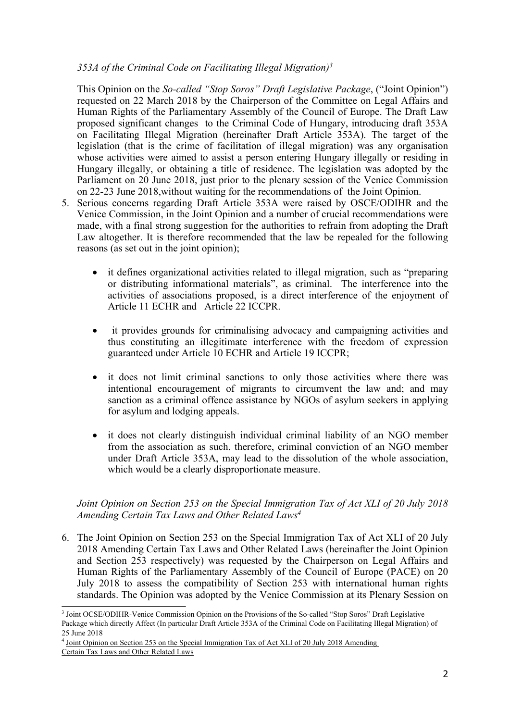# *353A of the Criminal Code on Facilitating Illegal Migration) 3*

This Opinion on the *So-called "Stop Soros" Draft Legislative Package*, ("Joint Opinion") requested on 22 March 2018 by the Chairperson of the Committee on Legal Affairs and Human Rights of the Parliamentary Assembly of the Council of Europe. The Draft Law proposed significant changes to the Criminal Code of Hungary, introducing draft 353A on Facilitating Illegal Migration (hereinafter Draft Article 353A). The target of the legislation (that is the crime of facilitation of illegal migration) was any organisation whose activities were aimed to assist <sup>a</sup> person entering Hungary illegally or residing in Hungary illegally, or obtaining <sup>a</sup> title of residence. The legislation was adopted by the Parliament on 20 June 2018, just prior to the plenary session of the Venice Commission on 22-23 June 2018,without waiting for the recommendations of the Joint Opinion.

- 5. Serious concerns regarding Draft Article 353A were raised by OSCE/ODIHR and the Venice Commission, in the Joint Opinion and <sup>a</sup> number of crucial recommendations were made, with <sup>a</sup> final strong suggestion for the authorities to refrain from adopting the Draft Law altogether. It is therefore recommended that the law be repealed for the following reasons (as set out in the joint opinion);
	- $\bullet$  it defines organizational activities related to illegal migration, such as "preparing or distributing informational materials", as criminal. The interference into the activities of associations proposed, is <sup>a</sup> direct interference of the enjoyment of Article 11 ECHR and Article 22 ICCPR.
	- $\bullet$  it provides grounds for criminalising advocacy and campaigning activities and thus constituting an illegitimate interference with the freedom of expression guaranteed under Article 10 ECHR and Article 19 ICCPR;
	- C it does not limit criminal sanctions to only those activities where there was intentional encouragemen<sup>t</sup> of migrants to circumvent the law and; and may sanction as <sup>a</sup> criminal offence assistance by NGOs of asylum seekers in applying for asylum and lodging appeals.
	- C it does not clearly distinguish individual criminal liability of an NGO member from the association as such. therefore, criminal conviction of an NGO member under Draft Article 353A, may lead to the dissolution of the whole association, which would be <sup>a</sup> clearly disproportionate measure.

#### *Joint Opinion on Section 253 on the Special Immigration Tax of Act XLI of 20 July 2018 Amending Certain Tax Laws and Other Related Laws 4*

6. The Joint Opinion on Section 253 on the Special Immigration Tax of Act XLI of 20 July 2018 Amending Certain Tax Laws and Other Related Laws (hereinafter the Joint Opinion and Section 253 respectively) was requested by the Chairperson on Legal Affairs and Human Rights of the Parliamentary Assembly of the Council of Europe (PACE) on 20 July 2018 to assess the compatibility of Section 253 with international human rights standards. The Opinion was adopted by the Venice Commission at its Plenary Session on

<sup>&</sup>lt;sup>3</sup> Joint [OCSE/ODIHR-Venice](https://www.legislationline.org/download/id/7989/file/326_NGO_HUN_25Jun2018_en.pdf) Commission Opinion on the Provisions of the So-called "Stop Soros" Draft Legislative Package which directly Affect (In particular Draft Article 353A of the Criminal Code on [Facilitating](https://www.legislationline.org/download/id/7989/file/326_NGO_HUN_25Jun2018_en.pdf) Illegal Migration) of 25 June [2018](https://www.legislationline.org/download/id/7989/file/326_NGO_HUN_25Jun2018_en.pdf)

<sup>4</sup> Joint Opinion on Section 253 on the Special [Immigration](https://www.legislationline.org/download/id/8139/file/336_NGO_HUN_17Dec2018_en.pdf) Tax of Act XLI of 20 July 2018 Amending Certain Tax Laws and Other [Related](https://www.legislationline.org/download/id/8139/file/336_NGO_HUN_17Dec2018_en.pdf) Laws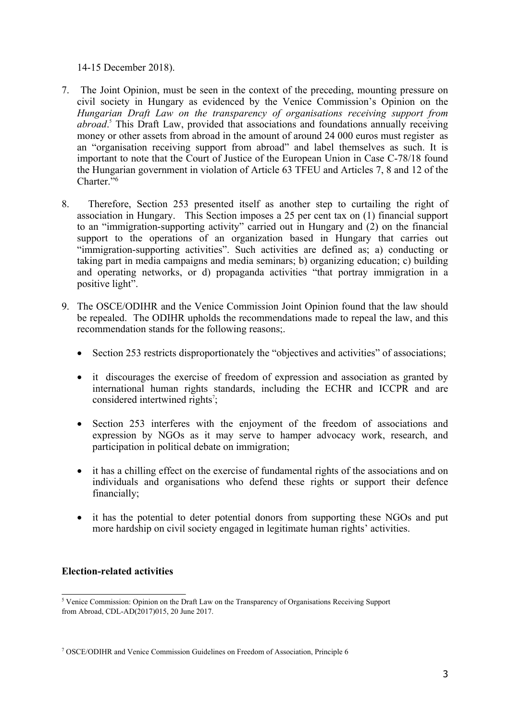14-15 December 2018).

- 7. The Joint Opinion, must be seen in the context of the preceding, mounting pressure on civil society in Hungary as evidenced by the Venice Commission'<sup>s</sup> Opinion on the *Hungarian Draft Law on the transparency of organisations receiving suppor<sup>t</sup> from abroad*. 5 This Draft Law, provided that associations and foundations annually receiving money or other assets from abroad in the amount of around 24 000 euros must register as an "organisation receiving suppor<sup>t</sup> from abroad" and label themselves as such. It is important to note that the Court of Justice of the European Union in Case C-78/18 found the Hungarian governmen<sup>t</sup> in violation of Article 63 TFEU and Articles 7, 8 and 12 of the Charter."<sup>6</sup>
- 8. Therefore, Section 253 presented itself as another step to curtailing the right of association in Hungary. This Section imposes <sup>a</sup> 25 per cent tax on (1) financial suppor<sup>t</sup> to an "immigration-supporting activity" carried out in Hungary and (2) on the financial suppor<sup>t</sup> to the operations of an organization based in Hungary that carries out "immigration-supporting activities". Such activities are defined as; a) conducting or taking par<sup>t</sup> in media campaigns and media seminars; b) organizing education; c) building and operating networks, or d) propaganda activities "that portray immigration in <sup>a</sup> positive light".
- 9. The OSCE/ODIHR and the Venice Commission Joint Opinion found that the law should be repealed. The ODIHR upholds the recommendations made to repeal the law, and this recommendation stands for the following reasons;.
	- $\bullet$ Section 253 restricts disproportionately the "objectives and activities" of associations;
	- it discourages the exercise of freedom of expression and association as granted by international human rights standards, including the ECHR and ICCPR and are considered intertwined rights<sup>7</sup>;
	- $\bullet$  Section 253 interferes with the enjoyment of the freedom of associations and expression by NGOs as it may serve to hamper advocacy work, research, and participation in political debate on immigration;
	- it has <sup>a</sup> chilling effect on the exercise of fundamental rights of the associations and on individuals and organisations who defend these rights or suppor<sup>t</sup> their defence financially;
	- $\bullet$  it has the potential to deter potential donors from supporting these NGOs and pu<sup>t</sup> more hardship on civil society engaged in legitimate human rights' activities.

# **Election-related activities**

<sup>&</sup>lt;sup>5</sup> Venice Commission: Opinion on the Draft Law on the Transparency of Organisations Receiving Support from Abroad, CDL-AD(2017)015, 20 June 2017.

<sup>7</sup> OSCE/ODIHR and Venice Commission Guidelines on Freedom of Association, Principle 6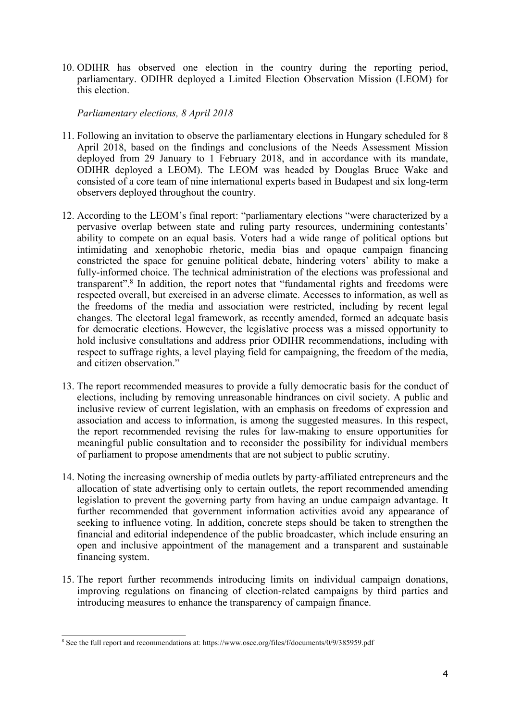10. ODIHR has observed one election in the country during the reporting period, parliamentary. ODIHR deployed <sup>a</sup> Limited Election Observation Mission (LEOM) for this election.

*Parliamentary elections, 8 April 2018*

- 11. Following an invitation to observe the parliamentary elections in Hungary scheduled for 8 April 2018, based on the findings and conclusions of the Needs Assessment Mission deployed from 29 January to 1 February 2018, and in accordance with its mandate, ODIHR deployed <sup>a</sup> LEOM). The LEOM was headed by Douglas Bruce Wake and consisted of <sup>a</sup> core team of nine international experts based in Budapest and six long-term observers deployed throughout the country.
- 12. According to the LEOM'<sup>s</sup> final report: "parliamentary elections "were characterized by <sup>a</sup> pervasive overlap between state and ruling party resources, undermining contestants' ability to compete on an equal basis. Voters had <sup>a</sup> wide range of political options but intimidating and xenophobic rhetoric, media bias and opaque campaign financing constricted the space for genuine political debate, hindering voters' ability to make <sup>a</sup> fully-informed choice. The technical administration of the elections was professional and transparent". 8 In addition, the repor<sup>t</sup> notes that "fundamental rights and freedoms were respected overall, but exercised in an adverse climate. Accesses to information, as well as the freedoms of the media and association were restricted, including by recent legal changes. The electoral legal framework, as recently amended, formed an adequate basis for democratic elections. However, the legislative process was <sup>a</sup> missed opportunity to hold inclusive consultations and address prior ODIHR recommendations, including with respec<sup>t</sup> to suffrage rights, <sup>a</sup> level playing field for campaigning, the freedom of the media, and citizen observation."
- 13. The repor<sup>t</sup> recommended measures to provide <sup>a</sup> fully democratic basis for the conduct of elections, including by removing unreasonable hindrances on civil society. A public and inclusive review of current legislation, with an emphasis on freedoms of expression and association and access to information, is among the suggested measures. In this respect, the repor<sup>t</sup> recommended revising the rules for law-making to ensure opportunities for meaningful public consultation and to reconsider the possibility for individual members of parliament to propose amendments that are not subject to public scrutiny.
- 14. Noting the increasing ownership of media outlets by party-affiliated entrepreneurs and the allocation of state advertising only to certain outlets, the repor<sup>t</sup> recommended amending legislation to preven<sup>t</sup> the governing party from having an undue campaign advantage. It further recommended that governmen<sup>t</sup> information activities avoid any appearance of seeking to influence voting. In addition, concrete steps should be taken to strengthen the financial and editorial independence of the public broadcaster, which include ensuring an open and inclusive appointment of the managemen<sup>t</sup> and <sup>a</sup> transparent and sustainable financing system.
- 15. The repor<sup>t</sup> further recommends introducing limits on individual campaign donations, improving regulations on financing of election-related campaigns by third parties and introducing measures to enhance the transparency of campaign finance.

<sup>8</sup> See the full repor<sup>t</sup> and recommendations at: <https://www.osce.org/files/f/documents/0/9/385959.pdf>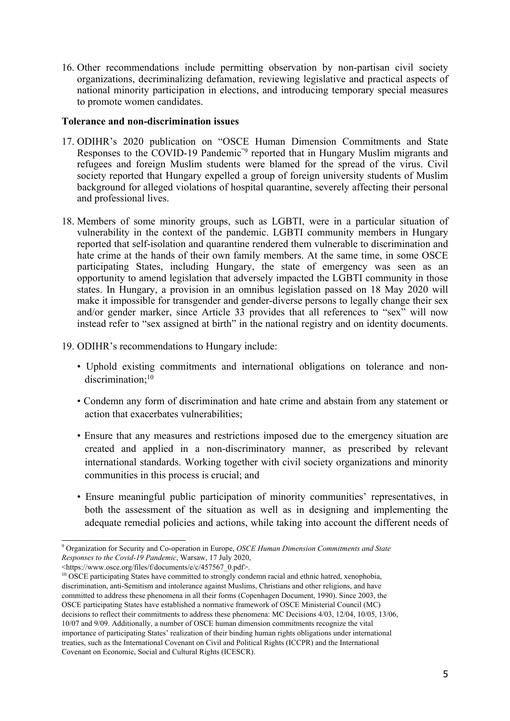16. Other recommendations include permitting observation by non-partisan civil society organizations, decriminalizing defamation, reviewing legislative and practical aspects of national minority participation in elections, and introducing temporary special measures to promote women candidates.

#### **Tolerance and non-discrimination issues**

- 17. ODIHR'<sup>s</sup> 2020 publication on "OSCE Human Dimension [Commitments](https://www.osce.org/odihr/human-rights-states-of-emergency-covid19) and State [Responses](https://www.osce.org/odihr/human-rights-states-of-emergency-covid19) to the COVID-19 Pandemic<sup>"9</sup> reported that in Hungary Muslim migrants and refugees and foreign Muslim students were blamed for the spread of the virus. Civil society reported that Hungary expelled <sup>a</sup> group of foreign university students of Muslim background for alleged violations of hospital quarantine, severely affecting their personal and professional lives.
- 18. Members of some minority groups, such as LGBTI, were in <sup>a</sup> particular situation of vulnerability in the context of the pandemic. LGBTI community members in Hungary reported that self-isolation and quarantine rendered them vulnerable to discrimination and hate crime at the hands of their own family members. At the same time, in some OSCE participating States, including Hungary, the state of emergency was seen as an opportunity to amend legislation that adversely impacted the LGBTI community in those states. In Hungary, <sup>a</sup> provision in an omnibus legislation passed on 18 May 2020 will make it impossible for transgender and gender-diverse persons to legally change their sex and/or gender marker, since Article 33 provides that all references to "sex" will now instead refer to "sex assigned at birth" in the national registry and on identity documents.
- 19. ODIHR'<sup>s</sup> recommendations to Hungary include:
	- Uphold existing commitments and international obligations on tolerance and nondiscrimination; 10
	- Condemn any form of discrimination and hate crime and abstain from any statement or action that exacerbates vulnerabilities;
	- Ensure that any measures and restrictions imposed due to the emergency situation are created and applied in <sup>a</sup> non-discriminatory manner, as prescribed by relevant international standards. Working together with civil society organizations and minority communities in this process is crucial; and
	- Ensure meaningful public participation of minority communities' representatives, in both the assessment of the situation as well as in designing and implementing the adequate remedial policies and actions, while taking into account the different needs of

<https://www.osce.org/files/f/documents/e/c/457567\_0.pdf>.

<sup>9</sup> Organization for Security and Co-operation in Europe, *OSCE Human Dimension Commitments and State Responses to the Covid-19 Pandemic*, Warsaw, 17 July 2020,

<sup>&</sup>lt;sup>10</sup> OSCE participating States have committed to strongly condemn racial and ethnic hatred, xenophobia, discrimination, anti-Semitism and intolerance against Muslims, Christians and other religions, and have committed to address these phenomena in all their forms (Copenhagen Document, 1990). Since 2003, the OSCE participating States have established <sup>a</sup> normative framework of OSCE Ministerial Council (MC) decisions to reflect their commitments to address these phenomena: MC Decisions 4/03, 12/04, 10/05, 13/06, 10/07 and 9/09. Additionally, <sup>a</sup> number of OSCE human dimension commitments recognize the vital importance of participating States' realization of their binding human rights obligations under international treaties, such as the International Covenant on Civil and Political Rights (ICCPR) and the International Covenant on Economic, Social and Cultural Rights (ICESCR).